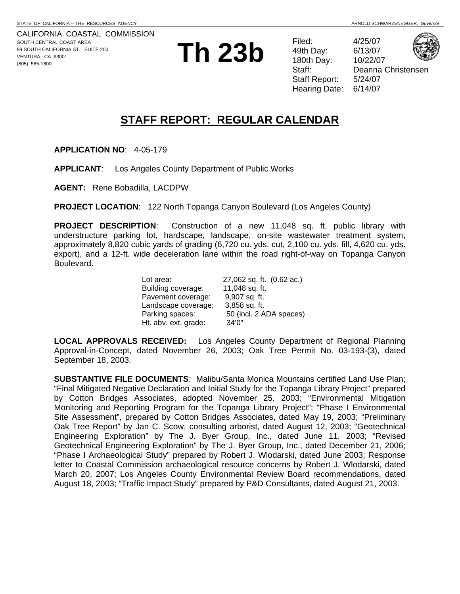CALIFORNIA COASTAL COMMISSION SOUTH CENTRAL COAST AREA 89 SOUTH CALIFORNIA ST., SUITE 200 VENTURA, CA 93001 (805) 585-1800 **Th 23b** Filed: 4/25/07

49th Day: 180th Day: Staff Report: 5/24/07 Hearing Date: 6/14/07



Deanna Christensen

# **STAFF REPORT: REGULAR CALENDAR**

**APPLICATION NO**: 4-05-179

**APPLICANT**: Los Angeles County Department of Public Works

**AGENT:** Rene Bobadilla, LACDPW

**PROJECT LOCATION**: 122 North Topanga Canyon Boulevard (Los Angeles County)

**PROJECT DESCRIPTION**: Construction of a new 11,048 sq. ft. public library with understructure parking lot, hardscape, landscape, on-site wastewater treatment system, approximately 8,820 cubic yards of grading (6,720 cu. yds. cut, 2,100 cu. yds. fill, 4,620 cu. yds. export), and a 12-ft. wide deceleration lane within the road right-of-way on Topanga Canyon Boulevard.

| Lot area:            | 27,062 sq. ft. (0.62 ac.) |
|----------------------|---------------------------|
| Building coverage:   | 11,048 sq. ft.            |
| Pavement coverage:   | 9,907 sq. ft.             |
| Landscape coverage:  | 3,858 sq. ft.             |
| Parking spaces:      | 50 (incl. 2 ADA spaces)   |
| Ht. abv. ext. grade: | 34'0''                    |

**LOCAL APPROVALS RECEIVED:** Los Angeles County Department of Regional Planning Approval-in-Concept, dated November 26, 2003; Oak Tree Permit No. 03-193-(3), dated September 18, 2003.

**SUBSTANTIVE FILE DOCUMENTS**: Malibu/Santa Monica Mountains certified Land Use Plan; "Final Mitigated Negative Declaration and Initial Study for the Topanga Library Project" prepared by Cotton Bridges Associates, adopted November 25, 2003; "Environmental Mitigation Monitoring and Reporting Program for the Topanga Library Project"; "Phase I Environmental Site Assessment", prepared by Cotton Bridges Associates, dated May 19, 2003; "Preliminary Oak Tree Report" by Jan C. Scow, consulting arborist, dated August 12, 2003; "Geotechnical Engineering Exploration" by The J. Byer Group, Inc., dated June 11, 2003; "Revised Geotechnical Engineering Exploration" by The J. Byer Group, Inc., dated December 21, 2006; "Phase I Archaeological Study" prepared by Robert J. Wlodarski, dated June 2003; Response letter to Coastal Commission archaeological resource concerns by Robert J. Wlodarski, dated March 20, 2007; Los Angeles County Environmental Review Board recommendations, dated August 18, 2003; "Traffic Impact Study" prepared by P&D Consultants, dated August 21, 2003.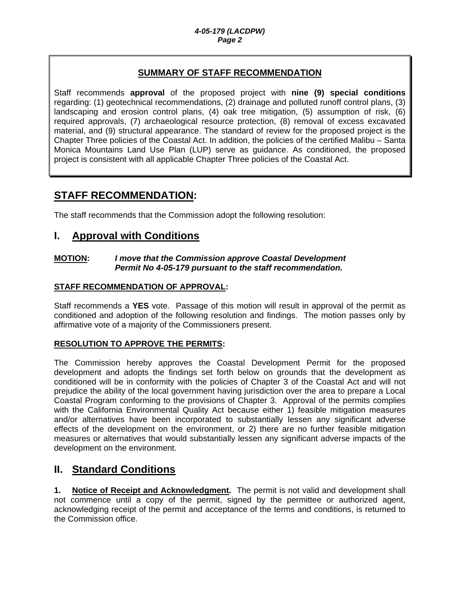### **SUMMARY OF STAFF RECOMMENDATION**

Staff recommends **approval** of the proposed project with **nine (9) special conditions** regarding: (1) geotechnical recommendations, (2) drainage and polluted runoff control plans, (3) landscaping and erosion control plans, (4) oak tree mitigation, (5) assumption of risk, (6) required approvals, (7) archaeological resource protection, (8) removal of excess excavated material, and (9) structural appearance. The standard of review for the proposed project is the Chapter Three policies of the Coastal Act. In addition, the policies of the certified Malibu – Santa Monica Mountains Land Use Plan (LUP) serve as guidance. As conditioned, the proposed project is consistent with all applicable Chapter Three policies of the Coastal Act.

# **STAFF RECOMMENDATION:**

The staff recommends that the Commission adopt the following resolution:

### **I. Approval with Conditions**

#### **MOTION:** *I move that the Commission approve Coastal Development Permit No 4-05-179 pursuant to the staff recommendation.*

### **STAFF RECOMMENDATION OF APPROVAL:**

Staff recommends a **YES** vote. Passage of this motion will result in approval of the permit as conditioned and adoption of the following resolution and findings. The motion passes only by affirmative vote of a majority of the Commissioners present.

### **RESOLUTION TO APPROVE THE PERMITS:**

The Commission hereby approves the Coastal Development Permit for the proposed development and adopts the findings set forth below on grounds that the development as conditioned will be in conformity with the policies of Chapter 3 of the Coastal Act and will not prejudice the ability of the local government having jurisdiction over the area to prepare a Local Coastal Program conforming to the provisions of Chapter 3. Approval of the permits complies with the California Environmental Quality Act because either 1) feasible mitigation measures and/or alternatives have been incorporated to substantially lessen any significant adverse effects of the development on the environment, or 2) there are no further feasible mitigation measures or alternatives that would substantially lessen any significant adverse impacts of the development on the environment.

# **II. Standard Conditions**

**1. Notice of Receipt and Acknowledgment.** The permit is not valid and development shall not commence until a copy of the permit, signed by the permittee or authorized agent, acknowledging receipt of the permit and acceptance of the terms and conditions, is returned to the Commission office.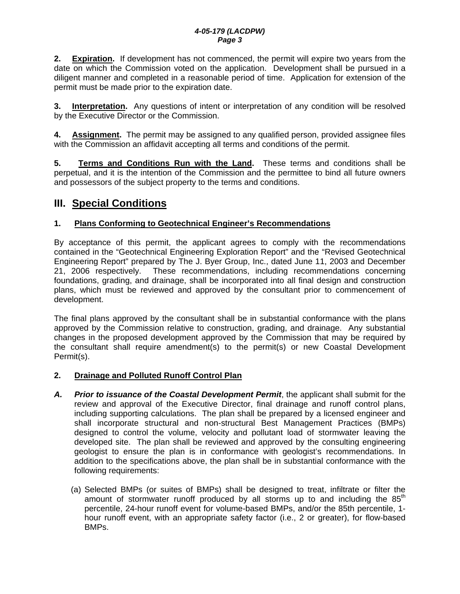**2. Expiration.** If development has not commenced, the permit will expire two years from the date on which the Commission voted on the application. Development shall be pursued in a diligent manner and completed in a reasonable period of time. Application for extension of the permit must be made prior to the expiration date.

**3.** Interpretation. Any questions of intent or interpretation of any condition will be resolved by the Executive Director or the Commission.

**4. Assignment.** The permit may be assigned to any qualified person, provided assignee files with the Commission an affidavit accepting all terms and conditions of the permit.

**5. Terms and Conditions Run with the Land.** These terms and conditions shall be perpetual, and it is the intention of the Commission and the permittee to bind all future owners and possessors of the subject property to the terms and conditions.

# **III. Special Conditions**

### **1. Plans Conforming to Geotechnical Engineer's Recommendations**

By acceptance of this permit, the applicant agrees to comply with the recommendations contained in the "Geotechnical Engineering Exploration Report" and the "Revised Geotechnical Engineering Report" prepared by The J. Byer Group, Inc., dated June 11, 2003 and December 21, 2006 respectively. These recommendations, including recommendations concerning foundations, grading, and drainage, shall be incorporated into all final design and construction plans, which must be reviewed and approved by the consultant prior to commencement of development.

The final plans approved by the consultant shall be in substantial conformance with the plans approved by the Commission relative to construction, grading, and drainage. Any substantial changes in the proposed development approved by the Commission that may be required by the consultant shall require amendment(s) to the permit(s) or new Coastal Development Permit(s).

### **2. Drainage and Polluted Runoff Control Plan**

- *A. Prior to issuance of the Coastal Development Permit*, the applicant shall submit for the review and approval of the Executive Director, final drainage and runoff control plans, including supporting calculations. The plan shall be prepared by a licensed engineer and shall incorporate structural and non-structural Best Management Practices (BMPs) designed to control the volume, velocity and pollutant load of stormwater leaving the developed site. The plan shall be reviewed and approved by the consulting engineering geologist to ensure the plan is in conformance with geologist's recommendations. In addition to the specifications above, the plan shall be in substantial conformance with the following requirements:
	- (a) Selected BMPs (or suites of BMPs) shall be designed to treat, infiltrate or filter the amount of stormwater runoff produced by all storms up to and including the  $85<sup>th</sup>$ percentile, 24-hour runoff event for volume-based BMPs, and/or the 85th percentile, 1 hour runoff event, with an appropriate safety factor (i.e., 2 or greater), for flow-based BMPs.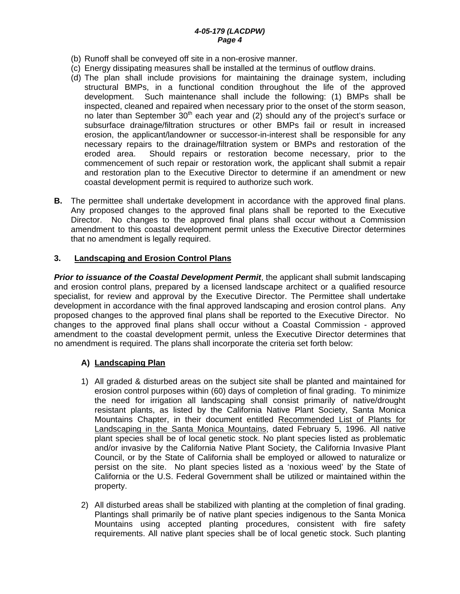- (b) Runoff shall be conveyed off site in a non-erosive manner.
- (c) Energy dissipating measures shall be installed at the terminus of outflow drains.
- (d) The plan shall include provisions for maintaining the drainage system, including structural BMPs, in a functional condition throughout the life of the approved development. Such maintenance shall include the following: (1) BMPs shall be inspected, cleaned and repaired when necessary prior to the onset of the storm season, no later than September  $30<sup>th</sup>$  each year and (2) should any of the project's surface or subsurface drainage/filtration structures or other BMPs fail or result in increased erosion, the applicant/landowner or successor-in-interest shall be responsible for any necessary repairs to the drainage/filtration system or BMPs and restoration of the eroded area. Should repairs or restoration become necessary, prior to the commencement of such repair or restoration work, the applicant shall submit a repair and restoration plan to the Executive Director to determine if an amendment or new coastal development permit is required to authorize such work.
- **B.** The permittee shall undertake development in accordance with the approved final plans. Any proposed changes to the approved final plans shall be reported to the Executive Director. No changes to the approved final plans shall occur without a Commission amendment to this coastal development permit unless the Executive Director determines that no amendment is legally required.

### **3. Landscaping and Erosion Control Plans**

*Prior to issuance of the Coastal Development Permit*, the applicant shall submit landscaping and erosion control plans, prepared by a licensed landscape architect or a qualified resource specialist, for review and approval by the Executive Director. The Permittee shall undertake development in accordance with the final approved landscaping and erosion control plans. Any proposed changes to the approved final plans shall be reported to the Executive Director. No changes to the approved final plans shall occur without a Coastal Commission - approved amendment to the coastal development permit, unless the Executive Director determines that no amendment is required. The plans shall incorporate the criteria set forth below:

### **A) Landscaping Plan**

- 1) All graded & disturbed areas on the subject site shall be planted and maintained for erosion control purposes within (60) days of completion of final grading. To minimize the need for irrigation all landscaping shall consist primarily of native/drought resistant plants, as listed by the California Native Plant Society, Santa Monica Mountains Chapter, in their document entitled Recommended List of Plants for Landscaping in the Santa Monica Mountains, dated February 5, 1996. All native plant species shall be of local genetic stock. No plant species listed as problematic and/or invasive by the California Native Plant Society, the California Invasive Plant Council, or by the State of California shall be employed or allowed to naturalize or persist on the site. No plant species listed as a 'noxious weed' by the State of California or the U.S. Federal Government shall be utilized or maintained within the property.
- 2) All disturbed areas shall be stabilized with planting at the completion of final grading. Plantings shall primarily be of native plant species indigenous to the Santa Monica Mountains using accepted planting procedures, consistent with fire safety requirements. All native plant species shall be of local genetic stock. Such planting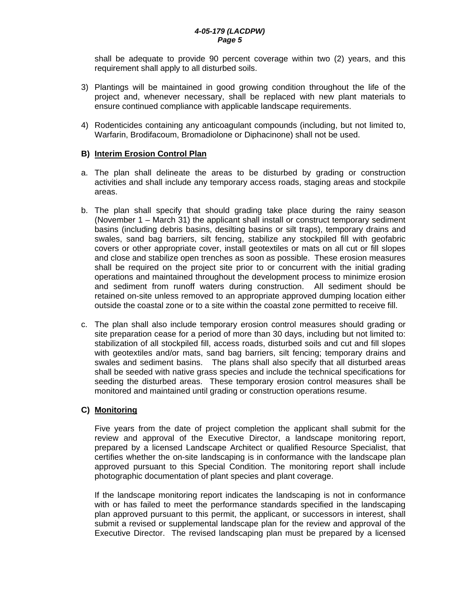shall be adequate to provide 90 percent coverage within two (2) years, and this requirement shall apply to all disturbed soils.

- 3) Plantings will be maintained in good growing condition throughout the life of the project and, whenever necessary, shall be replaced with new plant materials to ensure continued compliance with applicable landscape requirements.
- 4) Rodenticides containing any anticoagulant compounds (including, but not limited to, Warfarin, Brodifacoum, Bromadiolone or Diphacinone) shall not be used.

#### **B) Interim Erosion Control Plan**

- a. The plan shall delineate the areas to be disturbed by grading or construction activities and shall include any temporary access roads, staging areas and stockpile areas.
- b. The plan shall specify that should grading take place during the rainy season (November 1 – March 31) the applicant shall install or construct temporary sediment basins (including debris basins, desilting basins or silt traps), temporary drains and swales, sand bag barriers, silt fencing, stabilize any stockpiled fill with geofabric covers or other appropriate cover, install geotextiles or mats on all cut or fill slopes and close and stabilize open trenches as soon as possible. These erosion measures shall be required on the project site prior to or concurrent with the initial grading operations and maintained throughout the development process to minimize erosion and sediment from runoff waters during construction. All sediment should be retained on-site unless removed to an appropriate approved dumping location either outside the coastal zone or to a site within the coastal zone permitted to receive fill.
- c. The plan shall also include temporary erosion control measures should grading or site preparation cease for a period of more than 30 days, including but not limited to: stabilization of all stockpiled fill, access roads, disturbed soils and cut and fill slopes with geotextiles and/or mats, sand bag barriers, silt fencing; temporary drains and swales and sediment basins. The plans shall also specify that all disturbed areas shall be seeded with native grass species and include the technical specifications for seeding the disturbed areas. These temporary erosion control measures shall be monitored and maintained until grading or construction operations resume.

### **C) Monitoring**

 Five years from the date of project completion the applicant shall submit for the review and approval of the Executive Director, a landscape monitoring report, prepared by a licensed Landscape Architect or qualified Resource Specialist, that certifies whether the on-site landscaping is in conformance with the landscape plan approved pursuant to this Special Condition. The monitoring report shall include photographic documentation of plant species and plant coverage.

 If the landscape monitoring report indicates the landscaping is not in conformance with or has failed to meet the performance standards specified in the landscaping plan approved pursuant to this permit, the applicant, or successors in interest, shall submit a revised or supplemental landscape plan for the review and approval of the Executive Director. The revised landscaping plan must be prepared by a licensed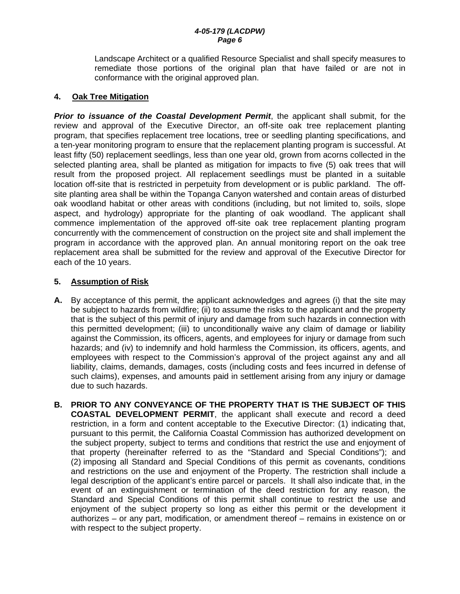Landscape Architect or a qualified Resource Specialist and shall specify measures to remediate those portions of the original plan that have failed or are not in conformance with the original approved plan.

### **4. Oak Tree Mitigation**

*Prior to issuance of the Coastal Development Permit*, the applicant shall submit, for the review and approval of the Executive Director, an off-site oak tree replacement planting program, that specifies replacement tree locations, tree or seedling planting specifications, and a ten-year monitoring program to ensure that the replacement planting program is successful. At least fifty (50) replacement seedlings, less than one year old, grown from acorns collected in the selected planting area, shall be planted as mitigation for impacts to five (5) oak trees that will result from the proposed project. All replacement seedlings must be planted in a suitable location off-site that is restricted in perpetuity from development or is public parkland. The offsite planting area shall be within the Topanga Canyon watershed and contain areas of disturbed oak woodland habitat or other areas with conditions (including, but not limited to, soils, slope aspect, and hydrology) appropriate for the planting of oak woodland. The applicant shall commence implementation of the approved off-site oak tree replacement planting program concurrently with the commencement of construction on the project site and shall implement the program in accordance with the approved plan. An annual monitoring report on the oak tree replacement area shall be submitted for the review and approval of the Executive Director for each of the 10 years.

### **5. Assumption of Risk**

- **A.** By acceptance of this permit, the applicant acknowledges and agrees (i) that the site may be subject to hazards from wildfire; (ii) to assume the risks to the applicant and the property that is the subject of this permit of injury and damage from such hazards in connection with this permitted development; (iii) to unconditionally waive any claim of damage or liability against the Commission, its officers, agents, and employees for injury or damage from such hazards; and (iv) to indemnify and hold harmless the Commission, its officers, agents, and employees with respect to the Commission's approval of the project against any and all liability, claims, demands, damages, costs (including costs and fees incurred in defense of such claims), expenses, and amounts paid in settlement arising from any injury or damage due to such hazards.
- **B. PRIOR TO ANY CONVEYANCE OF THE PROPERTY THAT IS THE SUBJECT OF THIS COASTAL DEVELOPMENT PERMIT**, the applicant shall execute and record a deed restriction, in a form and content acceptable to the Executive Director: (1) indicating that, pursuant to this permit, the California Coastal Commission has authorized development on the subject property, subject to terms and conditions that restrict the use and enjoyment of that property (hereinafter referred to as the "Standard and Special Conditions"); and (2) imposing all Standard and Special Conditions of this permit as covenants, conditions and restrictions on the use and enjoyment of the Property. The restriction shall include a legal description of the applicant's entire parcel or parcels. It shall also indicate that, in the event of an extinguishment or termination of the deed restriction for any reason, the Standard and Special Conditions of this permit shall continue to restrict the use and enjoyment of the subject property so long as either this permit or the development it authorizes – or any part, modification, or amendment thereof – remains in existence on or with respect to the subject property.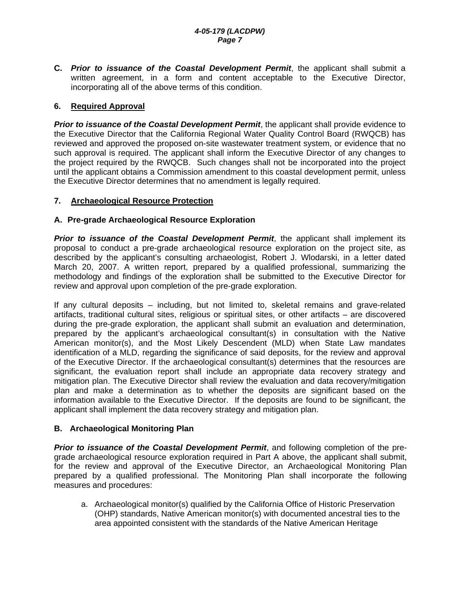**C.** *Prior to issuance of the Coastal Development Permit*, the applicant shall submit a written agreement, in a form and content acceptable to the Executive Director, incorporating all of the above terms of this condition.

### **6. Required Approval**

**Prior to issuance of the Coastal Development Permit**, the applicant shall provide evidence to the Executive Director that the California Regional Water Quality Control Board (RWQCB) has reviewed and approved the proposed on-site wastewater treatment system, or evidence that no such approval is required. The applicant shall inform the Executive Director of any changes to the project required by the RWQCB. Such changes shall not be incorporated into the project until the applicant obtains a Commission amendment to this coastal development permit, unless the Executive Director determines that no amendment is legally required.

### **7. Archaeological Resource Protection**

#### **A. Pre-grade Archaeological Resource Exploration**

*Prior to issuance of the Coastal Development Permit*, the applicant shall implement its proposal to conduct a pre-grade archaeological resource exploration on the project site, as described by the applicant's consulting archaeologist, Robert J. Wlodarski, in a letter dated March 20, 2007. A written report, prepared by a qualified professional, summarizing the methodology and findings of the exploration shall be submitted to the Executive Director for review and approval upon completion of the pre-grade exploration.

If any cultural deposits – including, but not limited to, skeletal remains and grave-related artifacts, traditional cultural sites, religious or spiritual sites, or other artifacts – are discovered during the pre-grade exploration, the applicant shall submit an evaluation and determination, prepared by the applicant's archaeological consultant(s) in consultation with the Native American monitor(s), and the Most Likely Descendent (MLD) when State Law mandates identification of a MLD, regarding the significance of said deposits, for the review and approval of the Executive Director. If the archaeological consultant(s) determines that the resources are significant, the evaluation report shall include an appropriate data recovery strategy and mitigation plan. The Executive Director shall review the evaluation and data recovery/mitigation plan and make a determination as to whether the deposits are significant based on the information available to the Executive Director. If the deposits are found to be significant, the applicant shall implement the data recovery strategy and mitigation plan.

#### **B. Archaeological Monitoring Plan**

*Prior to issuance of the Coastal Development Permit*, and following completion of the pregrade archaeological resource exploration required in Part A above, the applicant shall submit, for the review and approval of the Executive Director, an Archaeological Monitoring Plan prepared by a qualified professional. The Monitoring Plan shall incorporate the following measures and procedures:

a. Archaeological monitor(s) qualified by the California Office of Historic Preservation (OHP) standards, Native American monitor(s) with documented ancestral ties to the area appointed consistent with the standards of the Native American Heritage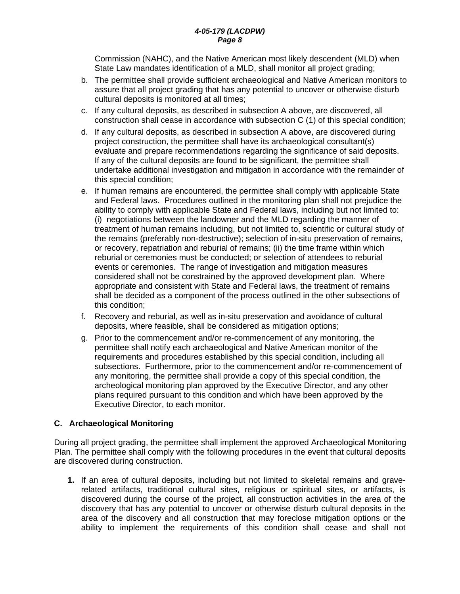Commission (NAHC), and the Native American most likely descendent (MLD) when State Law mandates identification of a MLD, shall monitor all project grading;

- b. The permittee shall provide sufficient archaeological and Native American monitors to assure that all project grading that has any potential to uncover or otherwise disturb cultural deposits is monitored at all times;
- c. If any cultural deposits, as described in subsection A above, are discovered, all construction shall cease in accordance with subsection C (1) of this special condition;
- d. If any cultural deposits, as described in subsection A above, are discovered during project construction, the permittee shall have its archaeological consultant(s) evaluate and prepare recommendations regarding the significance of said deposits. If any of the cultural deposits are found to be significant, the permittee shall undertake additional investigation and mitigation in accordance with the remainder of this special condition;
- e. If human remains are encountered, the permittee shall comply with applicable State and Federal laws. Procedures outlined in the monitoring plan shall not prejudice the ability to comply with applicable State and Federal laws, including but not limited to: (i) negotiations between the landowner and the MLD regarding the manner of treatment of human remains including, but not limited to, scientific or cultural study of the remains (preferably non-destructive); selection of in-situ preservation of remains, or recovery, repatriation and reburial of remains; (ii) the time frame within which reburial or ceremonies must be conducted; or selection of attendees to reburial events or ceremonies. The range of investigation and mitigation measures considered shall not be constrained by the approved development plan. Where appropriate and consistent with State and Federal laws, the treatment of remains shall be decided as a component of the process outlined in the other subsections of this condition;
- f. Recovery and reburial, as well as in-situ preservation and avoidance of cultural deposits, where feasible, shall be considered as mitigation options;
- g. Prior to the commencement and/or re-commencement of any monitoring, the permittee shall notify each archaeological and Native American monitor of the requirements and procedures established by this special condition, including all subsections. Furthermore, prior to the commencement and/or re-commencement of any monitoring, the permittee shall provide a copy of this special condition, the archeological monitoring plan approved by the Executive Director, and any other plans required pursuant to this condition and which have been approved by the Executive Director, to each monitor.

### **C. Archaeological Monitoring**

During all project grading, the permittee shall implement the approved Archaeological Monitoring Plan. The permittee shall comply with the following procedures in the event that cultural deposits are discovered during construction.

 **1.** If an area of cultural deposits, including but not limited to skeletal remains and graverelated artifacts, traditional cultural sites, religious or spiritual sites, or artifacts, is discovered during the course of the project, all construction activities in the area of the discovery that has any potential to uncover or otherwise disturb cultural deposits in the area of the discovery and all construction that may foreclose mitigation options or the ability to implement the requirements of this condition shall cease and shall not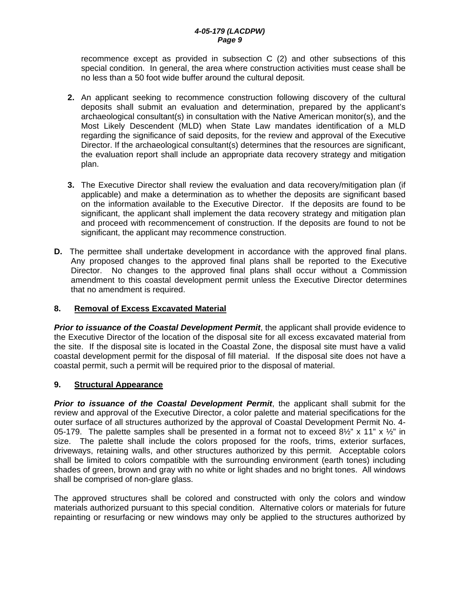recommence except as provided in subsection C (2) and other subsections of this special condition. In general, the area where construction activities must cease shall be no less than a 50 foot wide buffer around the cultural deposit.

- **2.** An applicant seeking to recommence construction following discovery of the cultural deposits shall submit an evaluation and determination, prepared by the applicant's archaeological consultant(s) in consultation with the Native American monitor(s), and the Most Likely Descendent (MLD) when State Law mandates identification of a MLD regarding the significance of said deposits, for the review and approval of the Executive Director. If the archaeological consultant(s) determines that the resources are significant, the evaluation report shall include an appropriate data recovery strategy and mitigation plan.
- **3.** The Executive Director shall review the evaluation and data recovery/mitigation plan (if applicable) and make a determination as to whether the deposits are significant based on the information available to the Executive Director. If the deposits are found to be significant, the applicant shall implement the data recovery strategy and mitigation plan and proceed with recommencement of construction. If the deposits are found to not be significant, the applicant may recommence construction.
- **D.** The permittee shall undertake development in accordance with the approved final plans. Any proposed changes to the approved final plans shall be reported to the Executive Director. No changes to the approved final plans shall occur without a Commission amendment to this coastal development permit unless the Executive Director determines that no amendment is required.

### **8. Removal of Excess Excavated Material**

**Prior to issuance of the Coastal Development Permit**, the applicant shall provide evidence to the Executive Director of the location of the disposal site for all excess excavated material from the site. If the disposal site is located in the Coastal Zone, the disposal site must have a valid coastal development permit for the disposal of fill material. If the disposal site does not have a coastal permit, such a permit will be required prior to the disposal of material.

### **9. Structural Appearance**

*Prior to issuance of the Coastal Development Permit*, the applicant shall submit for the review and approval of the Executive Director, a color palette and material specifications for the outer surface of all structures authorized by the approval of Coastal Development Permit No. 4- 05-179. The palette samples shall be presented in a format not to exceed  $8\frac{1}{2}$ " x 11" x  $\frac{1}{2}$ " in size. The palette shall include the colors proposed for the roofs, trims, exterior surfaces, driveways, retaining walls, and other structures authorized by this permit. Acceptable colors shall be limited to colors compatible with the surrounding environment (earth tones) including shades of green, brown and gray with no white or light shades and no bright tones. All windows shall be comprised of non-glare glass.

The approved structures shall be colored and constructed with only the colors and window materials authorized pursuant to this special condition. Alternative colors or materials for future repainting or resurfacing or new windows may only be applied to the structures authorized by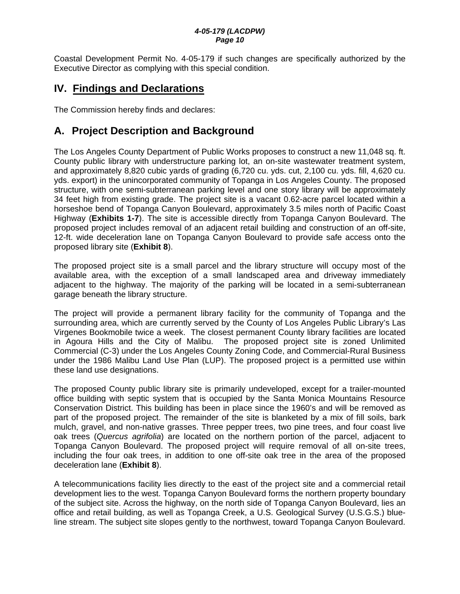Coastal Development Permit No. 4-05-179 if such changes are specifically authorized by the Executive Director as complying with this special condition.

# **IV. Findings and Declarations**

The Commission hereby finds and declares:

# **A. Project Description and Background**

The Los Angeles County Department of Public Works proposes to construct a new 11,048 sq. ft. County public library with understructure parking lot, an on-site wastewater treatment system, and approximately 8,820 cubic yards of grading (6,720 cu. yds. cut, 2,100 cu. yds. fill, 4,620 cu. yds. export) in the unincorporated community of Topanga in Los Angeles County. The proposed structure, with one semi-subterranean parking level and one story library will be approximately 34 feet high from existing grade. The project site is a vacant 0.62-acre parcel located within a horseshoe bend of Topanga Canyon Boulevard, approximately 3.5 miles north of Pacific Coast Highway (**Exhibits 1-7**). The site is accessible directly from Topanga Canyon Boulevard. The proposed project includes removal of an adjacent retail building and construction of an off-site, 12-ft. wide deceleration lane on Topanga Canyon Boulevard to provide safe access onto the proposed library site (**Exhibit 8**).

The proposed project site is a small parcel and the library structure will occupy most of the available area, with the exception of a small landscaped area and driveway immediately adjacent to the highway. The majority of the parking will be located in a semi-subterranean garage beneath the library structure.

The project will provide a permanent library facility for the community of Topanga and the surrounding area, which are currently served by the County of Los Angeles Public Library's Las Virgenes Bookmobile twice a week. The closest permanent County library facilities are located in Agoura Hills and the City of Malibu. The proposed project site is zoned Unlimited Commercial (C-3) under the Los Angeles County Zoning Code, and Commercial-Rural Business under the 1986 Malibu Land Use Plan (LUP). The proposed project is a permitted use within these land use designations.

The proposed County public library site is primarily undeveloped, except for a trailer-mounted office building with septic system that is occupied by the Santa Monica Mountains Resource Conservation District. This building has been in place since the 1960's and will be removed as part of the proposed project. The remainder of the site is blanketed by a mix of fill soils, bark mulch, gravel, and non-native grasses. Three pepper trees, two pine trees, and four coast live oak trees (*Quercus agrifolia*) are located on the northern portion of the parcel, adjacent to Topanga Canyon Boulevard. The proposed project will require removal of all on-site trees, including the four oak trees, in addition to one off-site oak tree in the area of the proposed deceleration lane (**Exhibit 8**).

A telecommunications facility lies directly to the east of the project site and a commercial retail development lies to the west. Topanga Canyon Boulevard forms the northern property boundary of the subject site. Across the highway, on the north side of Topanga Canyon Boulevard, lies an office and retail building, as well as Topanga Creek, a U.S. Geological Survey (U.S.G.S.) blueline stream. The subject site slopes gently to the northwest, toward Topanga Canyon Boulevard.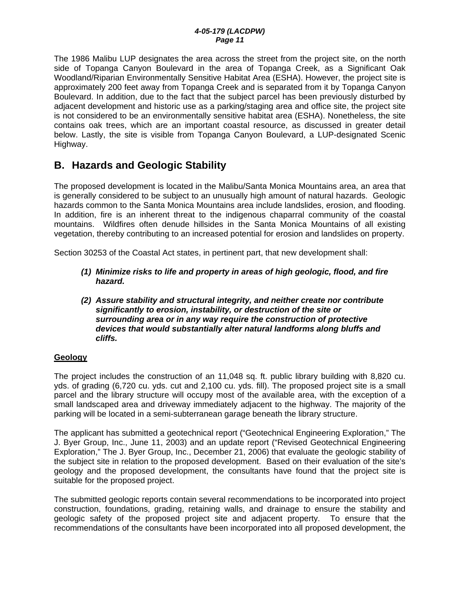The 1986 Malibu LUP designates the area across the street from the project site, on the north side of Topanga Canyon Boulevard in the area of Topanga Creek, as a Significant Oak Woodland/Riparian Environmentally Sensitive Habitat Area (ESHA). However, the project site is approximately 200 feet away from Topanga Creek and is separated from it by Topanga Canyon Boulevard. In addition, due to the fact that the subject parcel has been previously disturbed by adjacent development and historic use as a parking/staging area and office site, the project site is not considered to be an environmentally sensitive habitat area (ESHA). Nonetheless, the site contains oak trees, which are an important coastal resource, as discussed in greater detail below. Lastly, the site is visible from Topanga Canyon Boulevard, a LUP-designated Scenic Highway.

# **B. Hazards and Geologic Stability**

The proposed development is located in the Malibu/Santa Monica Mountains area, an area that is generally considered to be subject to an unusually high amount of natural hazards. Geologic hazards common to the Santa Monica Mountains area include landslides, erosion, and flooding. In addition, fire is an inherent threat to the indigenous chaparral community of the coastal mountains. Wildfires often denude hillsides in the Santa Monica Mountains of all existing vegetation, thereby contributing to an increased potential for erosion and landslides on property.

Section 30253 of the Coastal Act states, in pertinent part, that new development shall:

- *(1) Minimize risks to life and property in areas of high geologic, flood, and fire hazard.*
- *(2) Assure stability and structural integrity, and neither create nor contribute significantly to erosion, instability, or destruction of the site or surrounding area or in any way require the construction of protective devices that would substantially alter natural landforms along bluffs and cliffs.*

### **Geology**

The project includes the construction of an 11,048 sq. ft. public library building with 8,820 cu. yds. of grading (6,720 cu. yds. cut and 2,100 cu. yds. fill). The proposed project site is a small parcel and the library structure will occupy most of the available area, with the exception of a small landscaped area and driveway immediately adjacent to the highway. The majority of the parking will be located in a semi-subterranean garage beneath the library structure.

The applicant has submitted a geotechnical report ("Geotechnical Engineering Exploration," The J. Byer Group, Inc., June 11, 2003) and an update report ("Revised Geotechnical Engineering Exploration," The J. Byer Group, Inc., December 21, 2006) that evaluate the geologic stability of the subject site in relation to the proposed development. Based on their evaluation of the site's geology and the proposed development, the consultants have found that the project site is suitable for the proposed project.

The submitted geologic reports contain several recommendations to be incorporated into project construction, foundations, grading, retaining walls, and drainage to ensure the stability and geologic safety of the proposed project site and adjacent property. To ensure that the recommendations of the consultants have been incorporated into all proposed development, the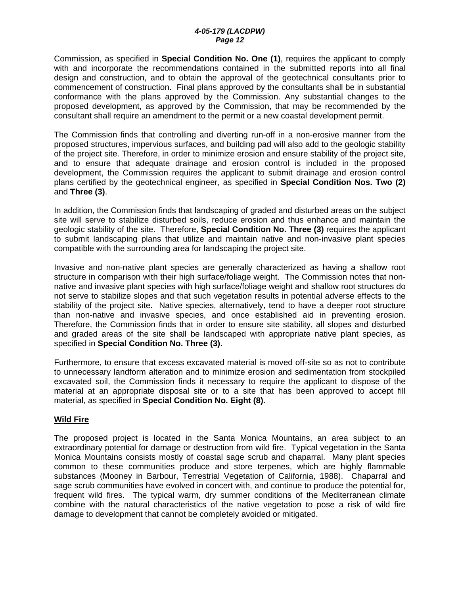Commission, as specified in **Special Condition No. One (1)**, requires the applicant to comply with and incorporate the recommendations contained in the submitted reports into all final design and construction, and to obtain the approval of the geotechnical consultants prior to commencement of construction. Final plans approved by the consultants shall be in substantial conformance with the plans approved by the Commission. Any substantial changes to the proposed development, as approved by the Commission, that may be recommended by the consultant shall require an amendment to the permit or a new coastal development permit.

The Commission finds that controlling and diverting run-off in a non-erosive manner from the proposed structures, impervious surfaces, and building pad will also add to the geologic stability of the project site. Therefore, in order to minimize erosion and ensure stability of the project site, and to ensure that adequate drainage and erosion control is included in the proposed development, the Commission requires the applicant to submit drainage and erosion control plans certified by the geotechnical engineer, as specified in **Special Condition Nos. Two (2)**  and **Three (3)**.

In addition, the Commission finds that landscaping of graded and disturbed areas on the subject site will serve to stabilize disturbed soils, reduce erosion and thus enhance and maintain the geologic stability of the site. Therefore, **Special Condition No. Three (3)** requires the applicant to submit landscaping plans that utilize and maintain native and non-invasive plant species compatible with the surrounding area for landscaping the project site.

Invasive and non-native plant species are generally characterized as having a shallow root structure in comparison with their high surface/foliage weight. The Commission notes that nonnative and invasive plant species with high surface/foliage weight and shallow root structures do not serve to stabilize slopes and that such vegetation results in potential adverse effects to the stability of the project site. Native species, alternatively, tend to have a deeper root structure than non-native and invasive species, and once established aid in preventing erosion. Therefore, the Commission finds that in order to ensure site stability, all slopes and disturbed and graded areas of the site shall be landscaped with appropriate native plant species, as specified in **Special Condition No. Three (3)**.

Furthermore, to ensure that excess excavated material is moved off-site so as not to contribute to unnecessary landform alteration and to minimize erosion and sedimentation from stockpiled excavated soil, the Commission finds it necessary to require the applicant to dispose of the material at an appropriate disposal site or to a site that has been approved to accept fill material, as specified in **Special Condition No. Eight (8)**.

#### **Wild Fire**

The proposed project is located in the Santa Monica Mountains, an area subject to an extraordinary potential for damage or destruction from wild fire. Typical vegetation in the Santa Monica Mountains consists mostly of coastal sage scrub and chaparral. Many plant species common to these communities produce and store terpenes, which are highly flammable substances (Mooney in Barbour, Terrestrial Vegetation of California, 1988). Chaparral and sage scrub communities have evolved in concert with, and continue to produce the potential for, frequent wild fires. The typical warm, dry summer conditions of the Mediterranean climate combine with the natural characteristics of the native vegetation to pose a risk of wild fire damage to development that cannot be completely avoided or mitigated.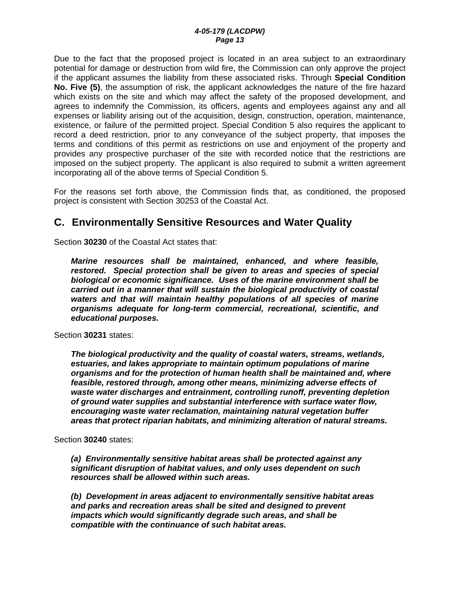Due to the fact that the proposed project is located in an area subject to an extraordinary potential for damage or destruction from wild fire, the Commission can only approve the project if the applicant assumes the liability from these associated risks. Through **Special Condition No. Five (5)**, the assumption of risk, the applicant acknowledges the nature of the fire hazard which exists on the site and which may affect the safety of the proposed development, and agrees to indemnify the Commission, its officers, agents and employees against any and all expenses or liability arising out of the acquisition, design, construction, operation, maintenance, existence, or failure of the permitted project. Special Condition 5 also requires the applicant to record a deed restriction, prior to any conveyance of the subject property, that imposes the terms and conditions of this permit as restrictions on use and enjoyment of the property and provides any prospective purchaser of the site with recorded notice that the restrictions are imposed on the subject property. The applicant is also required to submit a written agreement incorporating all of the above terms of Special Condition 5.

For the reasons set forth above, the Commission finds that, as conditioned, the proposed project is consistent with Section 30253 of the Coastal Act.

# **C. Environmentally Sensitive Resources and Water Quality**

Section **30230** of the Coastal Act states that:

*Marine resources shall be maintained, enhanced, and where feasible, restored. Special protection shall be given to areas and species of special biological or economic significance. Uses of the marine environment shall be carried out in a manner that will sustain the biological productivity of coastal waters and that will maintain healthy populations of all species of marine organisms adequate for long-term commercial, recreational, scientific, and educational purposes.* 

Section **30231** states:

*The biological productivity and the quality of coastal waters, streams, wetlands, estuaries, and lakes appropriate to maintain optimum populations of marine organisms and for the protection of human health shall be maintained and, where feasible, restored through, among other means, minimizing adverse effects of waste water discharges and entrainment, controlling runoff, preventing depletion of ground water supplies and substantial interference with surface water flow, encouraging waste water reclamation, maintaining natural vegetation buffer areas that protect riparian habitats, and minimizing alteration of natural streams.* 

Section **30240** states:

 *(a) Environmentally sensitive habitat areas shall be protected against any significant disruption of habitat values, and only uses dependent on such resources shall be allowed within such areas.* 

 *(b) Development in areas adjacent to environmentally sensitive habitat areas and parks and recreation areas shall be sited and designed to prevent impacts which would significantly degrade such areas, and shall be compatible with the continuance of such habitat areas.*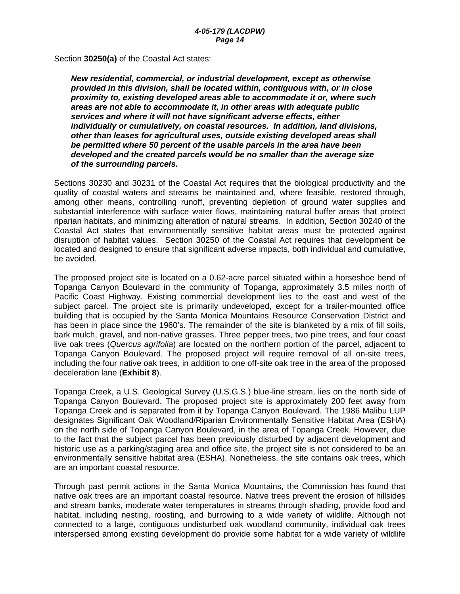Section **30250(a)** of the Coastal Act states:

*New residential, commercial, or industrial development, except as otherwise provided in this division, shall be located within, contiguous with, or in close proximity to, existing developed areas able to accommodate it or, where such areas are not able to accommodate it, in other areas with adequate public services and where it will not have significant adverse effects, either individually or cumulatively, on coastal resources. In addition, land divisions, other than leases for agricultural uses, outside existing developed areas shall be permitted where 50 percent of the usable parcels in the area have been developed and the created parcels would be no smaller than the average size of the surrounding parcels.*

Sections 30230 and 30231 of the Coastal Act requires that the biological productivity and the quality of coastal waters and streams be maintained and, where feasible, restored through, among other means, controlling runoff, preventing depletion of ground water supplies and substantial interference with surface water flows, maintaining natural buffer areas that protect riparian habitats, and minimizing alteration of natural streams. In addition, Section 30240 of the Coastal Act states that environmentally sensitive habitat areas must be protected against disruption of habitat values. Section 30250 of the Coastal Act requires that development be located and designed to ensure that significant adverse impacts, both individual and cumulative, be avoided.

The proposed project site is located on a 0.62-acre parcel situated within a horseshoe bend of Topanga Canyon Boulevard in the community of Topanga, approximately 3.5 miles north of Pacific Coast Highway. Existing commercial development lies to the east and west of the subject parcel. The project site is primarily undeveloped, except for a trailer-mounted office building that is occupied by the Santa Monica Mountains Resource Conservation District and has been in place since the 1960's. The remainder of the site is blanketed by a mix of fill soils, bark mulch, gravel, and non-native grasses. Three pepper trees, two pine trees, and four coast live oak trees (*Quercus agrifolia*) are located on the northern portion of the parcel, adjacent to Topanga Canyon Boulevard. The proposed project will require removal of all on-site trees, including the four native oak trees, in addition to one off-site oak tree in the area of the proposed deceleration lane (**Exhibit 8**).

Topanga Creek, a U.S. Geological Survey (U.S.G.S.) blue-line stream, lies on the north side of Topanga Canyon Boulevard. The proposed project site is approximately 200 feet away from Topanga Creek and is separated from it by Topanga Canyon Boulevard. The 1986 Malibu LUP designates Significant Oak Woodland/Riparian Environmentally Sensitive Habitat Area (ESHA) on the north side of Topanga Canyon Boulevard, in the area of Topanga Creek. However, due to the fact that the subject parcel has been previously disturbed by adjacent development and historic use as a parking/staging area and office site, the project site is not considered to be an environmentally sensitive habitat area (ESHA). Nonetheless, the site contains oak trees, which are an important coastal resource.

Through past permit actions in the Santa Monica Mountains, the Commission has found that native oak trees are an important coastal resource. Native trees prevent the erosion of hillsides and stream banks, moderate water temperatures in streams through shading, provide food and habitat, including nesting, roosting, and burrowing to a wide variety of wildlife. Although not connected to a large, contiguous undisturbed oak woodland community, individual oak trees interspersed among existing development do provide some habitat for a wide variety of wildlife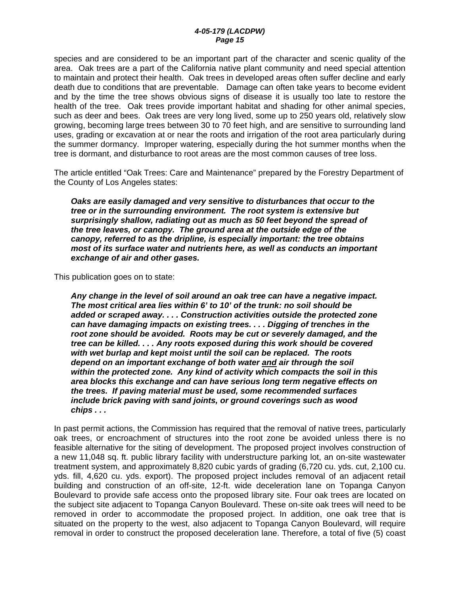species and are considered to be an important part of the character and scenic quality of the area. Oak trees are a part of the California native plant community and need special attention to maintain and protect their health. Oak trees in developed areas often suffer decline and early death due to conditions that are preventable. Damage can often take years to become evident and by the time the tree shows obvious signs of disease it is usually too late to restore the health of the tree. Oak trees provide important habitat and shading for other animal species, such as deer and bees. Oak trees are very long lived, some up to 250 years old, relatively slow growing, becoming large trees between 30 to 70 feet high, and are sensitive to surrounding land uses, grading or excavation at or near the roots and irrigation of the root area particularly during the summer dormancy. Improper watering, especially during the hot summer months when the tree is dormant, and disturbance to root areas are the most common causes of tree loss.

The article entitled "Oak Trees: Care and Maintenance" prepared by the Forestry Department of the County of Los Angeles states:

*Oaks are easily damaged and very sensitive to disturbances that occur to the tree or in the surrounding environment. The root system is extensive but surprisingly shallow, radiating out as much as 50 feet beyond the spread of the tree leaves, or canopy. The ground area at the outside edge of the canopy, referred to as the dripline, is especially important: the tree obtains most of its surface water and nutrients here, as well as conducts an important exchange of air and other gases.* 

This publication goes on to state:

*Any change in the level of soil around an oak tree can have a negative impact. The most critical area lies within 6' to 10' of the trunk: no soil should be added or scraped away. . . . Construction activities outside the protected zone can have damaging impacts on existing trees. . . . Digging of trenches in the root zone should be avoided. Roots may be cut or severely damaged, and the tree can be killed. . . . Any roots exposed during this work should be covered with wet burlap and kept moist until the soil can be replaced. The roots depend on an important exchange of both water and air through the soil within the protected zone. Any kind of activity which compacts the soil in this area blocks this exchange and can have serious long term negative effects on the trees. If paving material must be used, some recommended surfaces include brick paving with sand joints, or ground coverings such as wood chips . . .* 

In past permit actions, the Commission has required that the removal of native trees, particularly oak trees, or encroachment of structures into the root zone be avoided unless there is no feasible alternative for the siting of development. The proposed project involves construction of a new 11,048 sq. ft. public library facility with understructure parking lot, an on-site wastewater treatment system, and approximately 8,820 cubic yards of grading (6,720 cu. yds. cut, 2,100 cu. yds. fill, 4,620 cu. yds. export). The proposed project includes removal of an adjacent retail building and construction of an off-site, 12-ft. wide deceleration lane on Topanga Canyon Boulevard to provide safe access onto the proposed library site. Four oak trees are located on the subject site adjacent to Topanga Canyon Boulevard. These on-site oak trees will need to be removed in order to accommodate the proposed project. In addition, one oak tree that is situated on the property to the west, also adjacent to Topanga Canyon Boulevard, will require removal in order to construct the proposed deceleration lane. Therefore, a total of five (5) coast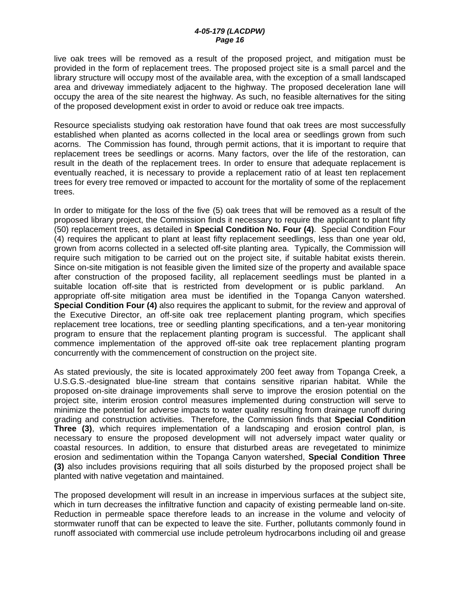live oak trees will be removed as a result of the proposed project, and mitigation must be provided in the form of replacement trees. The proposed project site is a small parcel and the library structure will occupy most of the available area, with the exception of a small landscaped area and driveway immediately adjacent to the highway. The proposed deceleration lane will occupy the area of the site nearest the highway. As such, no feasible alternatives for the siting of the proposed development exist in order to avoid or reduce oak tree impacts.

Resource specialists studying oak restoration have found that oak trees are most successfully established when planted as acorns collected in the local area or seedlings grown from such acorns. The Commission has found, through permit actions, that it is important to require that replacement trees be seedlings or acorns. Many factors, over the life of the restoration, can result in the death of the replacement trees. In order to ensure that adequate replacement is eventually reached, it is necessary to provide a replacement ratio of at least ten replacement trees for every tree removed or impacted to account for the mortality of some of the replacement trees.

In order to mitigate for the loss of the five (5) oak trees that will be removed as a result of the proposed library project, the Commission finds it necessary to require the applicant to plant fifty (50) replacement trees, as detailed in **Special Condition No. Four (4)**. Special Condition Four (4) requires the applicant to plant at least fifty replacement seedlings, less than one year old, grown from acorns collected in a selected off-site planting area. Typically, the Commission will require such mitigation to be carried out on the project site, if suitable habitat exists therein. Since on-site mitigation is not feasible given the limited size of the property and available space after construction of the proposed facility, all replacement seedlings must be planted in a suitable location off-site that is restricted from development or is public parkland. An appropriate off-site mitigation area must be identified in the Topanga Canyon watershed. **Special Condition Four (4)** also requires the applicant to submit, for the review and approval of the Executive Director, an off-site oak tree replacement planting program, which specifies replacement tree locations, tree or seedling planting specifications, and a ten-year monitoring program to ensure that the replacement planting program is successful. The applicant shall commence implementation of the approved off-site oak tree replacement planting program concurrently with the commencement of construction on the project site.

As stated previously, the site is located approximately 200 feet away from Topanga Creek, a U.S.G.S.-designated blue-line stream that contains sensitive riparian habitat. While the proposed on-site drainage improvements shall serve to improve the erosion potential on the project site, interim erosion control measures implemented during construction will serve to minimize the potential for adverse impacts to water quality resulting from drainage runoff during grading and construction activities. Therefore, the Commission finds that **Special Condition Three (3)**, which requires implementation of a landscaping and erosion control plan, is necessary to ensure the proposed development will not adversely impact water quality or coastal resources. In addition, to ensure that disturbed areas are revegetated to minimize erosion and sedimentation within the Topanga Canyon watershed, **Special Condition Three (3)** also includes provisions requiring that all soils disturbed by the proposed project shall be planted with native vegetation and maintained.

The proposed development will result in an increase in impervious surfaces at the subject site, which in turn decreases the infiltrative function and capacity of existing permeable land on-site. Reduction in permeable space therefore leads to an increase in the volume and velocity of stormwater runoff that can be expected to leave the site. Further, pollutants commonly found in runoff associated with commercial use include petroleum hydrocarbons including oil and grease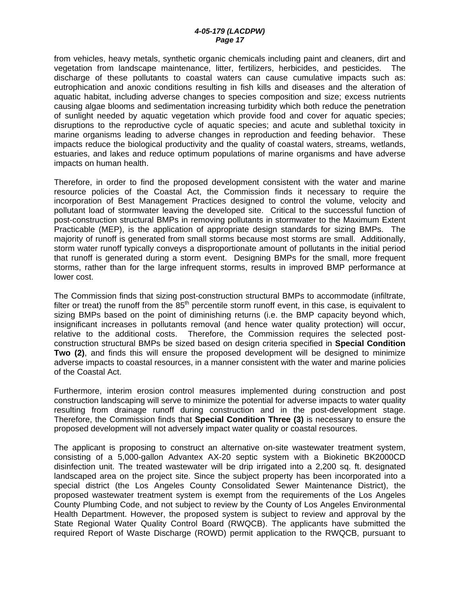from vehicles, heavy metals, synthetic organic chemicals including paint and cleaners, dirt and vegetation from landscape maintenance, litter, fertilizers, herbicides, and pesticides. The discharge of these pollutants to coastal waters can cause cumulative impacts such as: eutrophication and anoxic conditions resulting in fish kills and diseases and the alteration of aquatic habitat, including adverse changes to species composition and size; excess nutrients causing algae blooms and sedimentation increasing turbidity which both reduce the penetration of sunlight needed by aquatic vegetation which provide food and cover for aquatic species; disruptions to the reproductive cycle of aquatic species; and acute and sublethal toxicity in marine organisms leading to adverse changes in reproduction and feeding behavior. These impacts reduce the biological productivity and the quality of coastal waters, streams, wetlands, estuaries, and lakes and reduce optimum populations of marine organisms and have adverse impacts on human health.

Therefore, in order to find the proposed development consistent with the water and marine resource policies of the Coastal Act, the Commission finds it necessary to require the incorporation of Best Management Practices designed to control the volume, velocity and pollutant load of stormwater leaving the developed site. Critical to the successful function of post-construction structural BMPs in removing pollutants in stormwater to the Maximum Extent Practicable (MEP), is the application of appropriate design standards for sizing BMPs. The majority of runoff is generated from small storms because most storms are small. Additionally, storm water runoff typically conveys a disproportionate amount of pollutants in the initial period that runoff is generated during a storm event. Designing BMPs for the small, more frequent storms, rather than for the large infrequent storms, results in improved BMP performance at lower cost.

The Commission finds that sizing post-construction structural BMPs to accommodate (infiltrate, filter or treat) the runoff from the  $85<sup>th</sup>$  percentile storm runoff event, in this case, is equivalent to sizing BMPs based on the point of diminishing returns (i.e. the BMP capacity beyond which, insignificant increases in pollutants removal (and hence water quality protection) will occur, relative to the additional costs. Therefore, the Commission requires the selected postconstruction structural BMPs be sized based on design criteria specified in **Special Condition Two (2)**, and finds this will ensure the proposed development will be designed to minimize adverse impacts to coastal resources, in a manner consistent with the water and marine policies of the Coastal Act.

Furthermore, interim erosion control measures implemented during construction and post construction landscaping will serve to minimize the potential for adverse impacts to water quality resulting from drainage runoff during construction and in the post-development stage. Therefore, the Commission finds that **Special Condition Three (3)** is necessary to ensure the proposed development will not adversely impact water quality or coastal resources.

The applicant is proposing to construct an alternative on-site wastewater treatment system, consisting of a 5,000-gallon Advantex AX-20 septic system with a Biokinetic BK2000CD disinfection unit. The treated wastewater will be drip irrigated into a 2,200 sq. ft. designated landscaped area on the project site. Since the subject property has been incorporated into a special district (the Los Angeles County Consolidated Sewer Maintenance District), the proposed wastewater treatment system is exempt from the requirements of the Los Angeles County Plumbing Code, and not subject to review by the County of Los Angeles Environmental Health Department. However, the proposed system is subject to review and approval by the State Regional Water Quality Control Board (RWQCB). The applicants have submitted the required Report of Waste Discharge (ROWD) permit application to the RWQCB, pursuant to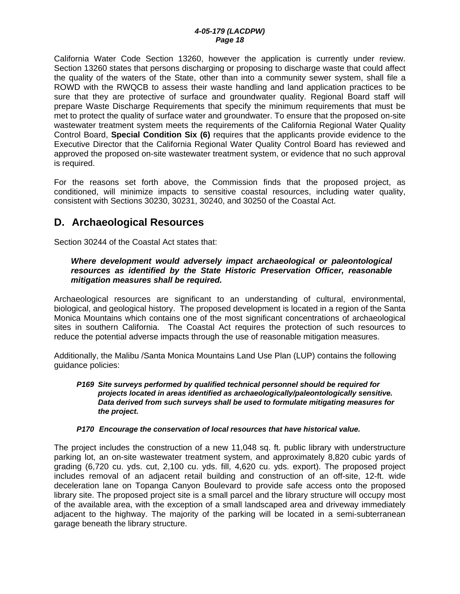California Water Code Section 13260, however the application is currently under review. Section 13260 states that persons discharging or proposing to discharge waste that could affect the quality of the waters of the State, other than into a community sewer system, shall file a ROWD with the RWQCB to assess their waste handling and land application practices to be sure that they are protective of surface and groundwater quality. Regional Board staff will prepare Waste Discharge Requirements that specify the minimum requirements that must be met to protect the quality of surface water and groundwater. To ensure that the proposed on-site wastewater treatment system meets the requirements of the California Regional Water Quality Control Board, **Special Condition Six (6)** requires that the applicants provide evidence to the Executive Director that the California Regional Water Quality Control Board has reviewed and approved the proposed on-site wastewater treatment system, or evidence that no such approval is required.

For the reasons set forth above, the Commission finds that the proposed project, as conditioned, will minimize impacts to sensitive coastal resources, including water quality, consistent with Sections 30230, 30231, 30240, and 30250 of the Coastal Act.

# **D. Archaeological Resources**

Section 30244 of the Coastal Act states that:

### *Where development would adversely impact archaeological or paleontological resources as identified by the State Historic Preservation Officer, reasonable mitigation measures shall be required.*

Archaeological resources are significant to an understanding of cultural, environmental, biological, and geological history. The proposed development is located in a region of the Santa Monica Mountains which contains one of the most significant concentrations of archaeological sites in southern California. The Coastal Act requires the protection of such resources to reduce the potential adverse impacts through the use of reasonable mitigation measures.

Additionally, the Malibu /Santa Monica Mountains Land Use Plan (LUP) contains the following guidance policies:

#### *P169 Site surveys performed by qualified technical personnel should be required for projects located in areas identified as archaeologically/paleontologically sensitive. Data derived from such surveys shall be used to formulate mitigating measures for the project.*

### *P170 Encourage the conservation of local resources that have historical value.*

The project includes the construction of a new 11,048 sq. ft. public library with understructure parking lot, an on-site wastewater treatment system, and approximately 8,820 cubic yards of grading (6,720 cu. yds. cut, 2,100 cu. yds. fill, 4,620 cu. yds. export). The proposed project includes removal of an adjacent retail building and construction of an off-site, 12-ft. wide deceleration lane on Topanga Canyon Boulevard to provide safe access onto the proposed library site. The proposed project site is a small parcel and the library structure will occupy most of the available area, with the exception of a small landscaped area and driveway immediately adjacent to the highway. The majority of the parking will be located in a semi-subterranean garage beneath the library structure.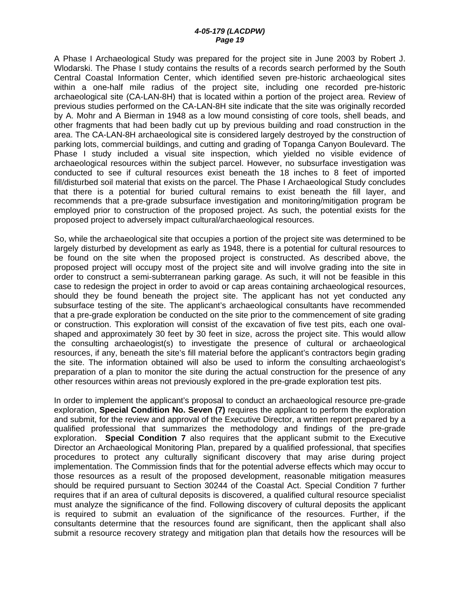A Phase I Archaeological Study was prepared for the project site in June 2003 by Robert J. Wlodarski. The Phase I study contains the results of a records search performed by the South Central Coastal Information Center, which identified seven pre-historic archaeological sites within a one-half mile radius of the project site, including one recorded pre-historic archaeological site (CA-LAN-8H) that is located within a portion of the project area. Review of previous studies performed on the CA-LAN-8H site indicate that the site was originally recorded by A. Mohr and A Bierman in 1948 as a low mound consisting of core tools, shell beads, and other fragments that had been badly cut up by previous building and road construction in the area. The CA-LAN-8H archaeological site is considered largely destroyed by the construction of parking lots, commercial buildings, and cutting and grading of Topanga Canyon Boulevard. The Phase I study included a visual site inspection, which yielded no visible evidence of archaeological resources within the subject parcel. However, no subsurface investigation was conducted to see if cultural resources exist beneath the 18 inches to 8 feet of imported fill/disturbed soil material that exists on the parcel. The Phase I Archaeological Study concludes that there is a potential for buried cultural remains to exist beneath the fill layer, and recommends that a pre-grade subsurface investigation and monitoring/mitigation program be employed prior to construction of the proposed project. As such, the potential exists for the proposed project to adversely impact cultural/archaeological resources.

So, while the archaeological site that occupies a portion of the project site was determined to be largely disturbed by development as early as 1948, there is a potential for cultural resources to be found on the site when the proposed project is constructed. As described above, the proposed project will occupy most of the project site and will involve grading into the site in order to construct a semi-subterranean parking garage. As such, it will not be feasible in this case to redesign the project in order to avoid or cap areas containing archaeological resources, should they be found beneath the project site. The applicant has not yet conducted any subsurface testing of the site. The applicant's archaeological consultants have recommended that a pre-grade exploration be conducted on the site prior to the commencement of site grading or construction. This exploration will consist of the excavation of five test pits, each one ovalshaped and approximately 30 feet by 30 feet in size, across the project site. This would allow the consulting archaeologist(s) to investigate the presence of cultural or archaeological resources, if any, beneath the site's fill material before the applicant's contractors begin grading the site. The information obtained will also be used to inform the consulting archaeologist's preparation of a plan to monitor the site during the actual construction for the presence of any other resources within areas not previously explored in the pre-grade exploration test pits.

In order to implement the applicant's proposal to conduct an archaeological resource pre-grade exploration, **Special Condition No. Seven (7)** requires the applicant to perform the exploration and submit, for the review and approval of the Executive Director, a written report prepared by a qualified professional that summarizes the methodology and findings of the pre-grade exploration. **Special Condition 7** also requires that the applicant submit to the Executive Director an Archaeological Monitoring Plan, prepared by a qualified professional, that specifies procedures to protect any culturally significant discovery that may arise during project implementation. The Commission finds that for the potential adverse effects which may occur to those resources as a result of the proposed development, reasonable mitigation measures should be required pursuant to Section 30244 of the Coastal Act. Special Condition 7 further requires that if an area of cultural deposits is discovered, a qualified cultural resource specialist must analyze the significance of the find. Following discovery of cultural deposits the applicant is required to submit an evaluation of the significance of the resources. Further, if the consultants determine that the resources found are significant, then the applicant shall also submit a resource recovery strategy and mitigation plan that details how the resources will be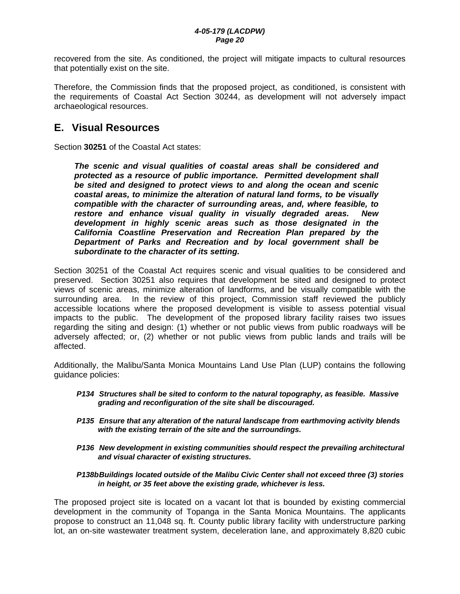recovered from the site. As conditioned, the project will mitigate impacts to cultural resources that potentially exist on the site.

Therefore, the Commission finds that the proposed project, as conditioned, is consistent with the requirements of Coastal Act Section 30244, as development will not adversely impact archaeological resources.

# **E. Visual Resources**

Section **30251** of the Coastal Act states:

*The scenic and visual qualities of coastal areas shall be considered and protected as a resource of public importance. Permitted development shall be sited and designed to protect views to and along the ocean and scenic coastal areas, to minimize the alteration of natural land forms, to be visually compatible with the character of surrounding areas, and, where feasible, to restore and enhance visual quality in visually degraded areas. New development in highly scenic areas such as those designated in the California Coastline Preservation and Recreation Plan prepared by the Department of Parks and Recreation and by local government shall be subordinate to the character of its setting.* 

Section 30251 of the Coastal Act requires scenic and visual qualities to be considered and preserved. Section 30251 also requires that development be sited and designed to protect views of scenic areas, minimize alteration of landforms, and be visually compatible with the surrounding area. In the review of this project, Commission staff reviewed the publicly accessible locations where the proposed development is visible to assess potential visual impacts to the public. The development of the proposed library facility raises two issues regarding the siting and design: (1) whether or not public views from public roadways will be adversely affected; or, (2) whether or not public views from public lands and trails will be affected.

Additionally, the Malibu/Santa Monica Mountains Land Use Plan (LUP) contains the following guidance policies:

- *P134 Structures shall be sited to conform to the natural topography, as feasible. Massive grading and reconfiguration of the site shall be discouraged.*
- *P135 Ensure that any alteration of the natural landscape from earthmoving activity blends with the existing terrain of the site and the surroundings.*
- *P136 New development in existing communities should respect the prevailing architectural and visual character of existing structures.*

#### *P138b Buildings located outside of the Malibu Civic Center shall not exceed three (3) stories in height, or 35 feet above the existing grade, whichever is less.*

The proposed project site is located on a vacant lot that is bounded by existing commercial development in the community of Topanga in the Santa Monica Mountains. The applicants propose to construct an 11,048 sq. ft. County public library facility with understructure parking lot, an on-site wastewater treatment system, deceleration lane, and approximately 8,820 cubic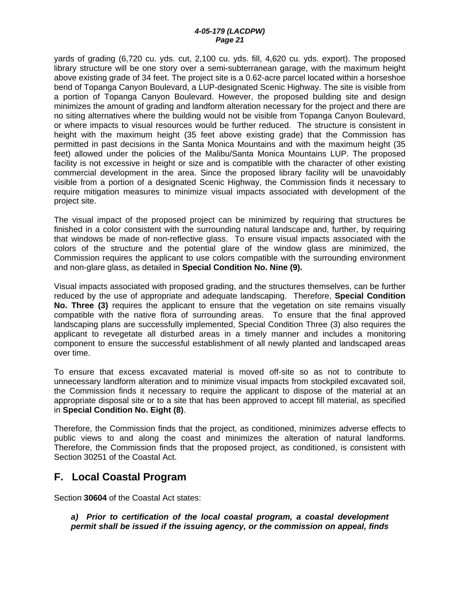yards of grading (6,720 cu. yds. cut, 2,100 cu. yds. fill, 4,620 cu. yds. export). The proposed library structure will be one story over a semi-subterranean garage, with the maximum height above existing grade of 34 feet. The project site is a 0.62-acre parcel located within a horseshoe bend of Topanga Canyon Boulevard, a LUP-designated Scenic Highway. The site is visible from a portion of Topanga Canyon Boulevard. However, the proposed building site and design minimizes the amount of grading and landform alteration necessary for the project and there are no siting alternatives where the building would not be visible from Topanga Canyon Boulevard, or where impacts to visual resources would be further reduced. The structure is consistent in height with the maximum height (35 feet above existing grade) that the Commission has permitted in past decisions in the Santa Monica Mountains and with the maximum height (35 feet) allowed under the policies of the Malibu/Santa Monica Mountains LUP. The proposed facility is not excessive in height or size and is compatible with the character of other existing commercial development in the area. Since the proposed library facility will be unavoidably visible from a portion of a designated Scenic Highway, the Commission finds it necessary to require mitigation measures to minimize visual impacts associated with development of the project site.

The visual impact of the proposed project can be minimized by requiring that structures be finished in a color consistent with the surrounding natural landscape and, further, by requiring that windows be made of non-reflective glass. To ensure visual impacts associated with the colors of the structure and the potential glare of the window glass are minimized, the Commission requires the applicant to use colors compatible with the surrounding environment and non-glare glass, as detailed in **Special Condition No. Nine (9).** 

Visual impacts associated with proposed grading, and the structures themselves, can be further reduced by the use of appropriate and adequate landscaping. Therefore, **Special Condition No. Three (3)** requires the applicant to ensure that the vegetation on site remains visually compatible with the native flora of surrounding areas. To ensure that the final approved landscaping plans are successfully implemented, Special Condition Three (3) also requires the applicant to revegetate all disturbed areas in a timely manner and includes a monitoring component to ensure the successful establishment of all newly planted and landscaped areas over time.

To ensure that excess excavated material is moved off-site so as not to contribute to unnecessary landform alteration and to minimize visual impacts from stockpiled excavated soil, the Commission finds it necessary to require the applicant to dispose of the material at an appropriate disposal site or to a site that has been approved to accept fill material, as specified in **Special Condition No. Eight (8)**.

Therefore, the Commission finds that the project, as conditioned, minimizes adverse effects to public views to and along the coast and minimizes the alteration of natural landforms. Therefore, the Commission finds that the proposed project, as conditioned, is consistent with Section 30251 of the Coastal Act.

# **F. Local Coastal Program**

Section **30604** of the Coastal Act states:

*a) Prior to certification of the local coastal program, a coastal development permit shall be issued if the issuing agency, or the commission on appeal, finds*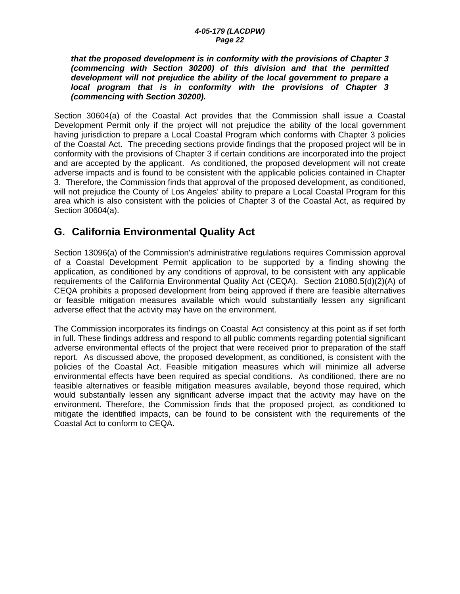*that the proposed development is in conformity with the provisions of Chapter 3 (commencing with Section 30200) of this division and that the permitted development will not prejudice the ability of the local government to prepare a local program that is in conformity with the provisions of Chapter 3 (commencing with Section 30200).* 

Section 30604(a) of the Coastal Act provides that the Commission shall issue a Coastal Development Permit only if the project will not prejudice the ability of the local government having jurisdiction to prepare a Local Coastal Program which conforms with Chapter 3 policies of the Coastal Act. The preceding sections provide findings that the proposed project will be in conformity with the provisions of Chapter 3 if certain conditions are incorporated into the project and are accepted by the applicant. As conditioned, the proposed development will not create adverse impacts and is found to be consistent with the applicable policies contained in Chapter 3. Therefore, the Commission finds that approval of the proposed development, as conditioned, will not prejudice the County of Los Angeles' ability to prepare a Local Coastal Program for this area which is also consistent with the policies of Chapter 3 of the Coastal Act, as required by Section 30604(a).

# **G. California Environmental Quality Act**

Section 13096(a) of the Commission's administrative regulations requires Commission approval of a Coastal Development Permit application to be supported by a finding showing the application, as conditioned by any conditions of approval, to be consistent with any applicable requirements of the California Environmental Quality Act (CEQA). Section 21080.5(d)(2)(A) of CEQA prohibits a proposed development from being approved if there are feasible alternatives or feasible mitigation measures available which would substantially lessen any significant adverse effect that the activity may have on the environment.

The Commission incorporates its findings on Coastal Act consistency at this point as if set forth in full. These findings address and respond to all public comments regarding potential significant adverse environmental effects of the project that were received prior to preparation of the staff report. As discussed above, the proposed development, as conditioned, is consistent with the policies of the Coastal Act. Feasible mitigation measures which will minimize all adverse environmental effects have been required as special conditions. As conditioned, there are no feasible alternatives or feasible mitigation measures available, beyond those required, which would substantially lessen any significant adverse impact that the activity may have on the environment. Therefore, the Commission finds that the proposed project, as conditioned to mitigate the identified impacts, can be found to be consistent with the requirements of the Coastal Act to conform to CEQA.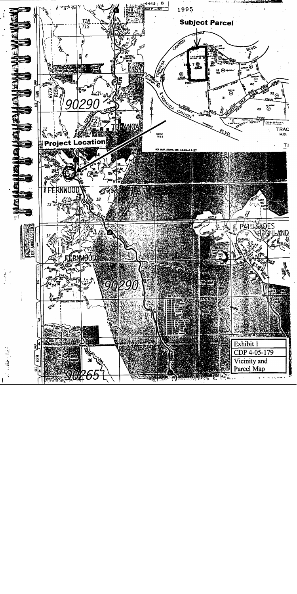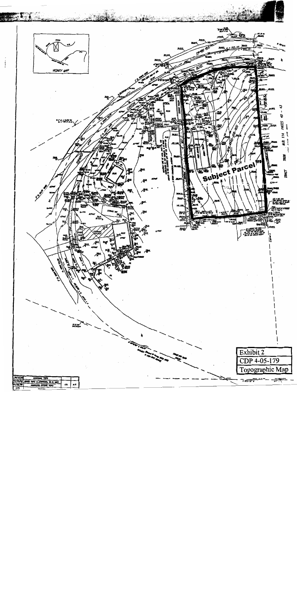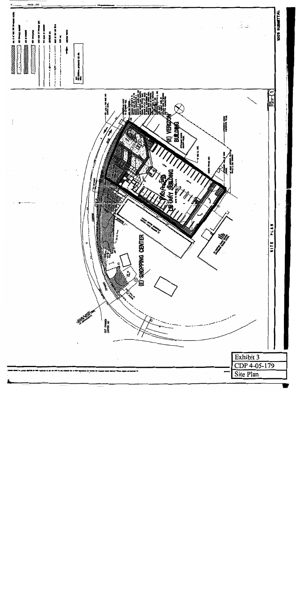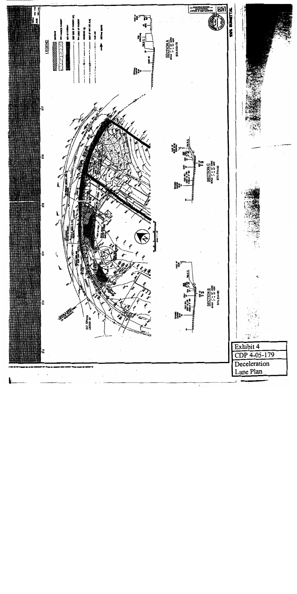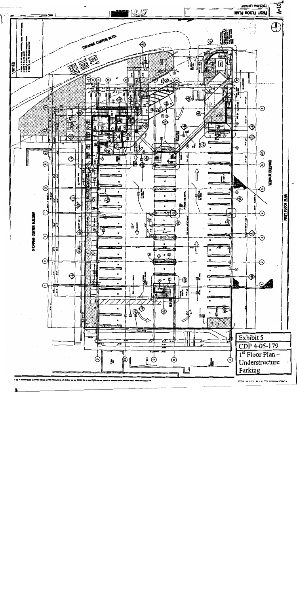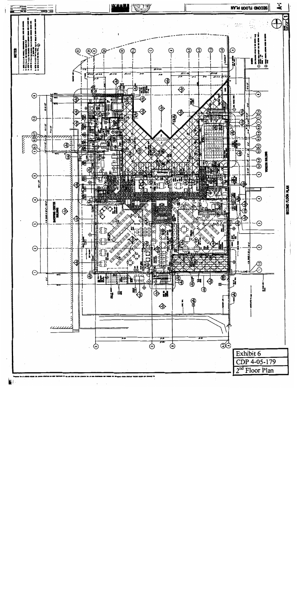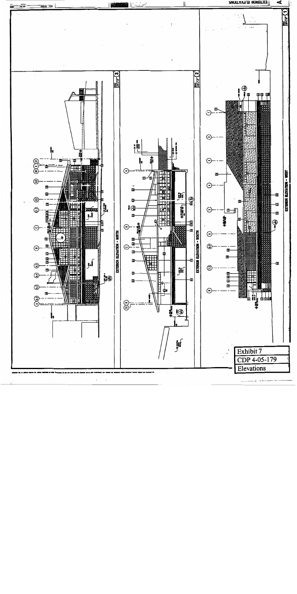